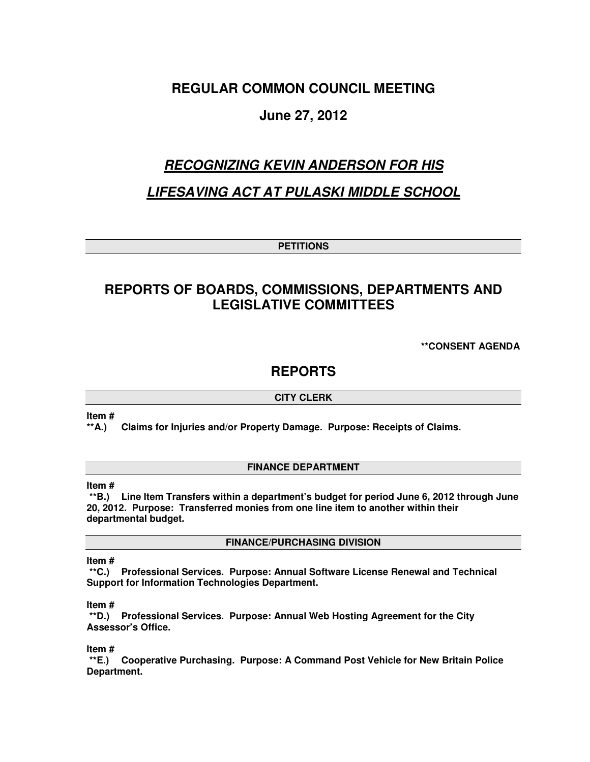# **REGULAR COMMON COUNCIL MEETING**

# **June 27, 2012**

# **RECOGNIZING KEVIN ANDERSON FOR HIS**

# **LIFESAVING ACT AT PULASKI MIDDLE SCHOOL**

**PETITIONS** 

# **REPORTS OF BOARDS, COMMISSIONS, DEPARTMENTS AND LEGISLATIVE COMMITTEES**

**\*\*CONSENT AGENDA** 

## **REPORTS**

## **CITY CLERK**

**Item #** 

**\*\*A.) Claims for Injuries and/or Property Damage. Purpose: Receipts of Claims.** 

## **FINANCE DEPARTMENT**

## **Item #**

 **\*\*B.) Line Item Transfers within a department's budget for period June 6, 2012 through June 20, 2012. Purpose: Transferred monies from one line item to another within their departmental budget.** 

**FINANCE/PURCHASING DIVISION** 

#### **Item #**

 **\*\*C.) Professional Services. Purpose: Annual Software License Renewal and Technical Support for Information Technologies Department.** 

#### **Item #**

 **\*\*D.) Professional Services. Purpose: Annual Web Hosting Agreement for the City Assessor's Office.** 

**Item #** 

 **\*\*E.) Cooperative Purchasing. Purpose: A Command Post Vehicle for New Britain Police Department.**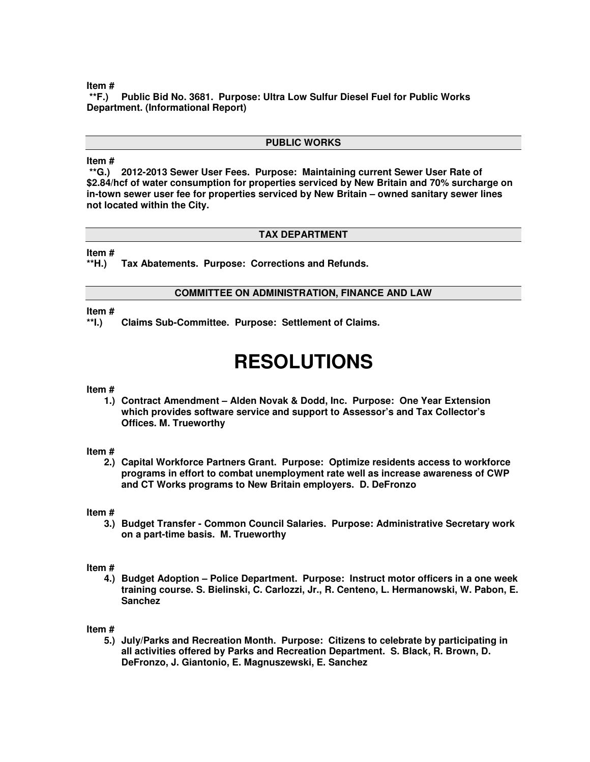**\*\*F.) Public Bid No. 3681. Purpose: Ultra Low Sulfur Diesel Fuel for Public Works Department. (Informational Report)** 

## **PUBLIC WORKS**

#### **Item #**

 **\*\*G.) 2012-2013 Sewer User Fees. Purpose: Maintaining current Sewer User Rate of \$2.84/hcf of water consumption for properties serviced by New Britain and 70% surcharge on in-town sewer user fee for properties serviced by New Britain – owned sanitary sewer lines not located within the City.** 

#### **TAX DEPARTMENT**

**Item #** 

**\*\*H.) Tax Abatements. Purpose: Corrections and Refunds.** 

## **COMMITTEE ON ADMINISTRATION, FINANCE AND LAW**

#### **Item #**

**\*\*I.) Claims Sub-Committee. Purpose: Settlement of Claims.** 

# **RESOLUTIONS**

#### **Item #**

**1.) Contract Amendment – Alden Novak & Dodd, Inc. Purpose: One Year Extension which provides software service and support to Assessor's and Tax Collector's Offices. M. Trueworthy** 

#### **Item #**

**2.) Capital Workforce Partners Grant. Purpose: Optimize residents access to workforce programs in effort to combat unemployment rate well as increase awareness of CWP and CT Works programs to New Britain employers. D. DeFronzo** 

#### **Item #**

**3.) Budget Transfer - Common Council Salaries. Purpose: Administrative Secretary work on a part-time basis. M. Trueworthy** 

#### **Item #**

**4.) Budget Adoption – Police Department. Purpose: Instruct motor officers in a one week training course. S. Bielinski, C. Carlozzi, Jr., R. Centeno, L. Hermanowski, W. Pabon, E. Sanchez** 

**Item #** 

**5.) July/Parks and Recreation Month. Purpose: Citizens to celebrate by participating in all activities offered by Parks and Recreation Department. S. Black, R. Brown, D. DeFronzo, J. Giantonio, E. Magnuszewski, E. Sanchez**

#### **Item #**